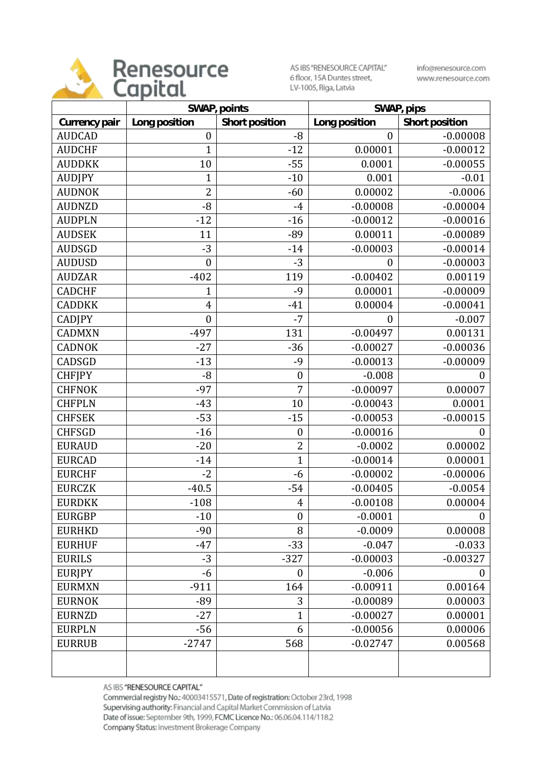

AS IBS "RENESOURCE CAPITAL" 6 floor, 15A Duntes street, LV-1005, Riga, Latvia

info@renesource.com www.renesource.com

|               | SWAP, points     |                  | SWAP, pips       |                  |
|---------------|------------------|------------------|------------------|------------------|
| Currency pair | Long position    | Short position   | Long position    | Short position   |
| <b>AUDCAD</b> | $\boldsymbol{0}$ | $-8$             | $\boldsymbol{0}$ | $-0.00008$       |
| <b>AUDCHF</b> | $\overline{1}$   | $-12$            | 0.00001          | $-0.00012$       |
| <b>AUDDKK</b> | 10               | $-55$            | 0.0001           | $-0.00055$       |
| <b>AUDJPY</b> | 1                | $-10$            | 0.001            | $-0.01$          |
| <b>AUDNOK</b> | $\overline{2}$   | $-60$            | 0.00002          | $-0.0006$        |
| <b>AUDNZD</b> | $-8$             | $-4$             | $-0.00008$       | $-0.00004$       |
| <b>AUDPLN</b> | $-12$            | $-16$            | $-0.00012$       | $-0.00016$       |
| <b>AUDSEK</b> | 11               | $-89$            | 0.00011          | $-0.00089$       |
| <b>AUDSGD</b> | $-3$             | $-14$            | $-0.00003$       | $-0.00014$       |
| <b>AUDUSD</b> | $\boldsymbol{0}$ | $-3$             | $\boldsymbol{0}$ | $-0.00003$       |
| <b>AUDZAR</b> | $-402$           | 119              | $-0.00402$       | 0.00119          |
| <b>CADCHF</b> | $\mathbf 1$      | $-9$             | 0.00001          | $-0.00009$       |
| <b>CADDKK</b> | $\overline{4}$   | $-41$            | 0.00004          | $-0.00041$       |
| <b>CADJPY</b> | $\boldsymbol{0}$ | $-7$             | $\boldsymbol{0}$ | $-0.007$         |
| <b>CADMXN</b> | $-497$           | 131              | $-0.00497$       | 0.00131          |
| <b>CADNOK</b> | $-27$            | $-36$            | $-0.00027$       | $-0.00036$       |
| CADSGD        | $-13$            | $-9$             | $-0.00013$       | $-0.00009$       |
| <b>CHFJPY</b> | $-8$             | $\boldsymbol{0}$ | $-0.008$         | $\overline{0}$   |
| <b>CHFNOK</b> | $-97$            | 7                | $-0.00097$       | 0.00007          |
| <b>CHFPLN</b> | $-43$            | 10               | $-0.00043$       | 0.0001           |
| <b>CHFSEK</b> | $-53$            | $-15$            | $-0.00053$       | $-0.00015$       |
| <b>CHFSGD</b> | $-16$            | $\boldsymbol{0}$ | $-0.00016$       | $\overline{0}$   |
| <b>EURAUD</b> | $-20$            | $\overline{2}$   | $-0.0002$        | 0.00002          |
| <b>EURCAD</b> | $-14$            | $\mathbf{1}$     | $-0.00014$       | 0.00001          |
| <b>EURCHF</b> | $-2$             | $-6$             | $-0.00002$       | $-0.00006$       |
| <b>EURCZK</b> | $-40.5$          | $-54$            | $-0.00405$       | $-0.0054$        |
| <b>EURDKK</b> | $-108$           | $\overline{4}$   | $-0.00108$       | 0.00004          |
| <b>EURGBP</b> | $-10$            | $\boldsymbol{0}$ | $-0.0001$        | $\boldsymbol{0}$ |
| <b>EURHKD</b> | $-90$            | 8                | $-0.0009$        | 0.00008          |
| <b>EURHUF</b> | $-47$            | $-33$            | $-0.047$         | $-0.033$         |
| <b>EURILS</b> | $-3$             | $-327$           | $-0.00003$       | $-0.00327$       |
| <b>EURJPY</b> | -6               | $\boldsymbol{0}$ | $-0.006$         | 0                |
| <b>EURMXN</b> | $-911$           | 164              | $-0.00911$       | 0.00164          |
| <b>EURNOK</b> | $-89$            | 3                | $-0.00089$       | 0.00003          |
| <b>EURNZD</b> | $-27$            | 1                | $-0.00027$       | 0.00001          |
| <b>EURPLN</b> | $-56$            | 6                | $-0.00056$       | 0.00006          |
| <b>EURRUB</b> | $-2747$          | 568              | $-0.02747$       | 0.00568          |
|               |                  |                  |                  |                  |

AS IBS "RENESOURCE CAPITAL"

Commercial registry No.: 40003415571, Date of registration: October 23rd, 1998 Supervising authority: Financial and Capital Market Commission of Latvia Date of issue: September 9th, 1999, FCMC Licence No.: 06.06.04.114/118.2 Company Status: Investment Brokerage Company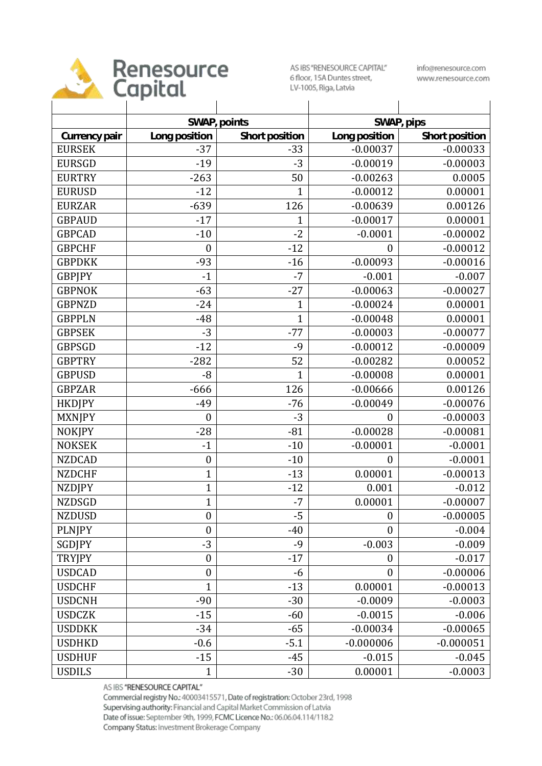

## Renesource

AS IBS "RENESOURCE CAPITAL" 6 floor, 15A Duntes street, LV-1005, Riga, Latvia

info@renesource.com www.renesource.com

|               | SWAP, points     |                |                  | SWAP, pips     |  |
|---------------|------------------|----------------|------------------|----------------|--|
| Currency pair | Long position    | Short position | Long position    | Short position |  |
| <b>EURSEK</b> | $-37$            | $-33$          | $-0.00037$       | $-0.00033$     |  |
| <b>EURSGD</b> | $-19$            | $-3$           | $-0.00019$       | $-0.00003$     |  |
| <b>EURTRY</b> | $-263$           | 50             | $-0.00263$       | 0.0005         |  |
| <b>EURUSD</b> | $-12$            | $\mathbf 1$    | $-0.00012$       | 0.00001        |  |
| <b>EURZAR</b> | $-639$           | 126            | $-0.00639$       | 0.00126        |  |
| <b>GBPAUD</b> | $-17$            | $\mathbf 1$    | $-0.00017$       | 0.00001        |  |
| <b>GBPCAD</b> | $-10$            | $-2$           | $-0.0001$        | $-0.00002$     |  |
| <b>GBPCHF</b> | $\boldsymbol{0}$ | $-12$          | $\boldsymbol{0}$ | $-0.00012$     |  |
| <b>GBPDKK</b> | $-93$            | $-16$          | $-0.00093$       | $-0.00016$     |  |
| <b>GBPJPY</b> | $-1$             | $-7$           | $-0.001$         | $-0.007$       |  |
| <b>GBPNOK</b> | $-63$            | $-27$          | $-0.00063$       | $-0.00027$     |  |
| <b>GBPNZD</b> | $-24$            | $\mathbf{1}$   | $-0.00024$       | 0.00001        |  |
| <b>GBPPLN</b> | $-48$            | $\mathbf{1}$   | $-0.00048$       | 0.00001        |  |
| <b>GBPSEK</b> | $-3$             | $-77$          | $-0.00003$       | $-0.00077$     |  |
| <b>GBPSGD</b> | $-12$            | $-9$           | $-0.00012$       | $-0.00009$     |  |
| <b>GBPTRY</b> | $-282$           | 52             | $-0.00282$       | 0.00052        |  |
| <b>GBPUSD</b> | $-8$             | $\mathbf{1}$   | $-0.00008$       | 0.00001        |  |
| <b>GBPZAR</b> | $-666$           | 126            | $-0.00666$       | 0.00126        |  |
| <b>HKDJPY</b> | $-49$            | $-76$          | $-0.00049$       | $-0.00076$     |  |
| <b>MXNJPY</b> | $\boldsymbol{0}$ | $-3$           | $\mathbf{0}$     | $-0.00003$     |  |
| <b>NOKJPY</b> | $-28$            | $-81$          | $-0.00028$       | $-0.00081$     |  |
| <b>NOKSEK</b> | $-1$             | $-10$          | $-0.00001$       | $-0.0001$      |  |
| <b>NZDCAD</b> | $\boldsymbol{0}$ | $-10$          | $\boldsymbol{0}$ | $-0.0001$      |  |
| <b>NZDCHF</b> | $\mathbf{1}$     | $-13$          | 0.00001          | $-0.00013$     |  |
| <b>NZDJPY</b> | $\mathbf{1}$     | $-12$          | 0.001            | $-0.012$       |  |
| <b>NZDSGD</b> | 1                | $-7$           | 0.00001          | $-0.00007$     |  |
| <b>NZDUSD</b> | $\boldsymbol{0}$ | $-5$           | $\boldsymbol{0}$ | $-0.00005$     |  |
| <b>PLNJPY</b> | $\boldsymbol{0}$ | $-40$          | $\boldsymbol{0}$ | $-0.004$       |  |
| SGDJPY        | $-3$             | $-9$           | $-0.003$         | $-0.009$       |  |
| <b>TRYJPY</b> | $\boldsymbol{0}$ | $-17$          | $\boldsymbol{0}$ | $-0.017$       |  |
| <b>USDCAD</b> | $\boldsymbol{0}$ | -6             | $\boldsymbol{0}$ | $-0.00006$     |  |
| <b>USDCHF</b> | $\mathbf{1}$     | $-13$          | 0.00001          | $-0.00013$     |  |
| <b>USDCNH</b> | $-90$            | $-30$          | $-0.0009$        | $-0.0003$      |  |
| <b>USDCZK</b> | $-15$            | $-60$          | $-0.0015$        | $-0.006$       |  |
| <b>USDDKK</b> | $-34$            | $-65$          | $-0.00034$       | $-0.00065$     |  |
| <b>USDHKD</b> | $-0.6$           | $-5.1$         | $-0.000006$      | $-0.000051$    |  |
| <b>USDHUF</b> | $-15$            | $-45$          | $-0.015$         | $-0.045$       |  |
| <b>USDILS</b> | $\mathbf{1}$     | $-30$          | 0.00001          | $-0.0003$      |  |

AS IBS "RENESOURCE CAPITAL"

Commercial registry No.: 40003415571, Date of registration: October 23rd, 1998 Supervising authority: Financial and Capital Market Commission of Latvia Date of issue: September 9th, 1999, FCMC Licence No.: 06.06.04.114/118.2 Company Status: Investment Brokerage Company